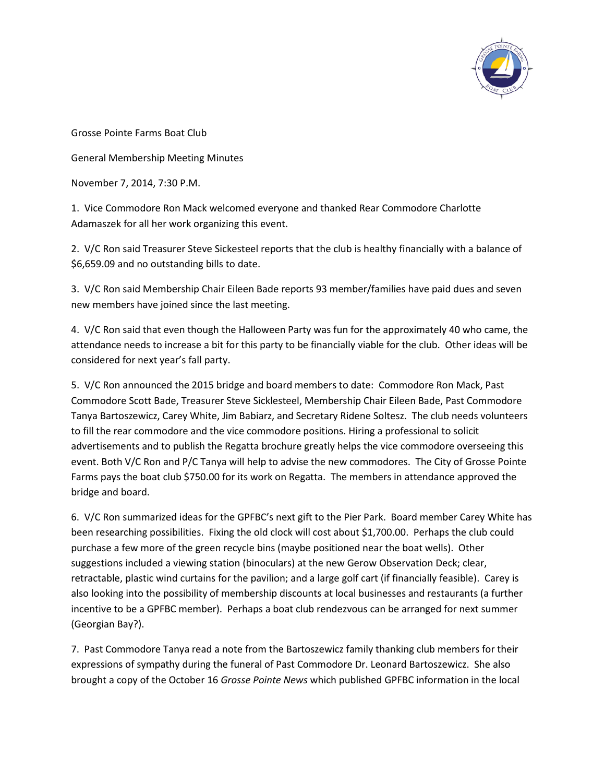

Grosse Pointe Farms Boat Club

General Membership Meeting Minutes

November 7, 2014, 7:30 P.M.

1. Vice Commodore Ron Mack welcomed everyone and thanked Rear Commodore Charlotte Adamaszek for all her work organizing this event.

2. V/C Ron said Treasurer Steve Sickesteel reports that the club is healthy financially with a balance of \$6,659.09 and no outstanding bills to date.

3. V/C Ron said Membership Chair Eileen Bade reports 93 member/families have paid dues and seven new members have joined since the last meeting.

4. V/C Ron said that even though the Halloween Party was fun for the approximately 40 who came, the attendance needs to increase a bit for this party to be financially viable for the club. Other ideas will be considered for next year's fall party.

5. V/C Ron announced the 2015 bridge and board members to date: Commodore Ron Mack, Past Commodore Scott Bade, Treasurer Steve Sicklesteel, Membership Chair Eileen Bade, Past Commodore Tanya Bartoszewicz, Carey White, Jim Babiarz, and Secretary Ridene Soltesz. The club needs volunteers to fill the rear commodore and the vice commodore positions. Hiring a professional to solicit advertisements and to publish the Regatta brochure greatly helps the vice commodore overseeing this event. Both V/C Ron and P/C Tanya will help to advise the new commodores. The City of Grosse Pointe Farms pays the boat club \$750.00 for its work on Regatta. The members in attendance approved the bridge and board.

6. V/C Ron summarized ideas for the GPFBC's next gift to the Pier Park. Board member Carey White has been researching possibilities. Fixing the old clock will cost about \$1,700.00. Perhaps the club could purchase a few more of the green recycle bins (maybe positioned near the boat wells). Other suggestions included a viewing station (binoculars) at the new Gerow Observation Deck; clear, retractable, plastic wind curtains for the pavilion; and a large golf cart (if financially feasible). Carey is also looking into the possibility of membership discounts at local businesses and restaurants (a further incentive to be a GPFBC member). Perhaps a boat club rendezvous can be arranged for next summer (Georgian Bay?).

7. Past Commodore Tanya read a note from the Bartoszewicz family thanking club members for their expressions of sympathy during the funeral of Past Commodore Dr. Leonard Bartoszewicz. She also brought a copy of the October 16 *Grosse Pointe News* which published GPFBC information in the local